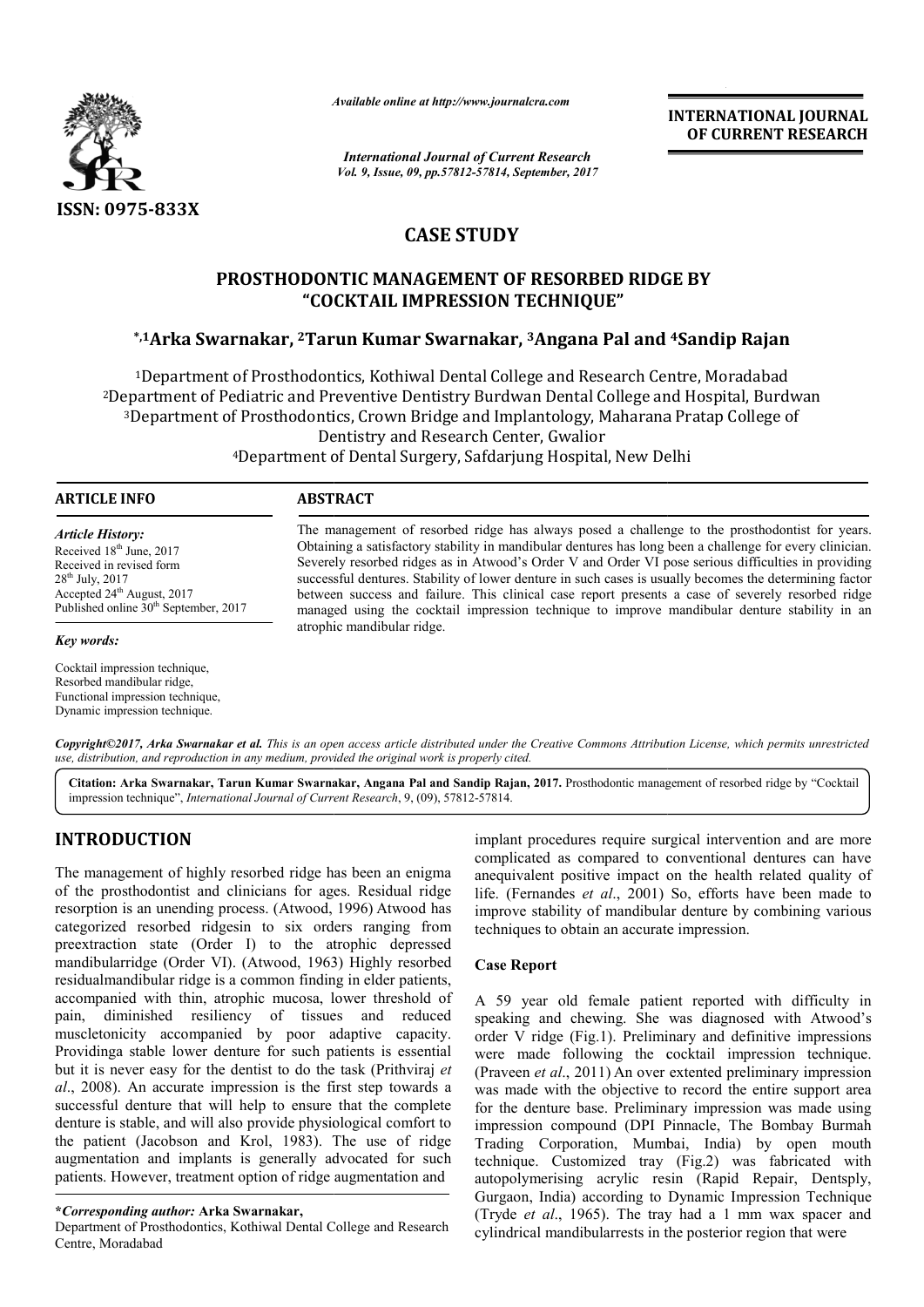

*Available online at http://www.journalcra.com*

*International Journal of Current Research Vol. 9, Issue, 09, pp.57812-57814, September, 2017* **INTERNATIONAL JOURNAL OF CURRENT RESEARCH**

# **CASE STUDY**

# **PROSTHODONTIC MANAGEMENT OF RESORBED RIDGE BY "COCKTAIL IMPRESSION TECHNIQUE"** PROSTHODONTIC MANAGEMENT OF RESORBED RIDGE BY<br>COCKTAIL IMPRESSION TECHNIQUE"<br><sup>1</sup>Arka Swarnakar, <sup>2</sup>Tarun Kumar Swarnakar, <sup>3</sup>Angana Pal and <sup>4</sup>Sandip Rajan\*

<sup>1</sup>Department of Prosthodontics, Kothiwal Dental College and Research Centre, Moradabad <sup>1</sup>Department of Prosthodontics, Kothiwal Dental College and Research Centre, Moradabad<br><sup>2</sup>Department of Pediatric and Preventive Dentistry Burdwan Dental College and Hospital, Burdwan <sup>3</sup>Department of Prosthodontics, Crown Bridge and Implantology, Maharana Pratap College of Dentistry and Research Center, Gwalior <sup>4</sup>Department of Dental Surgery, Safdarjung Hospital, New Delhi

### **ARTICLE INFO ABSTRACT**

*Article History:* Received 18<sup>th</sup> June, 2017 Received in revised form 28th July, 2017 Accepted 24<sup>th</sup> August, 2017 Published online  $30<sup>th</sup>$  September, 2017

The management of resorbed ridge has always posed a challenge to the prosthodontist for years. Obtaining a satisfactory stability in mandibular dentures has long been a challenge for every clinician. Severely resorbed ridges as in Atwood's Order V and Order VI pose serious difficulties in providing successful dentures. Stability of lower denture in such cases is usually becomes the determining factor between success and failure. This clinical case report presents a case of severely resorbed ridge managed using the cocktail impression technique to improve mandibular denture stability in an atrophic mandibular ridge. Obtaining a satisfactory stability in mandibular dentures has long been a challenge for every clinician.<br>Severely resorbed ridges as in Atwood's Order V and Order VI pose serious difficulties in providing<br>successful dentur

### *Key words:*

Cocktail impression technique, Resorbed mandibular ridge, Functional impression technique, Dynamic impression technique.

Copyright©2017, Arka Swarnakar et al. This is an open access article distributed under the Creative Commons Attribution License, which permits unrestricted *use, distribution, and reproduction in any medium, provided the original work is properly cited.*

Citation: Arka Swarnakar, Tarun Kumar Swarnakar, Angana Pal and Sandip Rajan, 2017. Prosthodontic management of resorbed ridge by "Cocktail impression technique", *International Journal of Current Research*, 9, (09), 57812-57814.

# **INTRODUCTION**

The management of highly resorbed ridge has been an enigma of the prosthodontist and clinicians for ages. Residual ridge resorption is an unending process. (Atwood, 1996) Atwood has categorized resorbed ridgesin to six orders ranging from preextraction state (Order I) to the atrophic depressed mandibularridge (Order VI). (Atwood, 1963 , 1963) Highly resorbed residualmandibular ridge is a common finding in elder patients, accompanied with thin, atrophic mucosa, lower threshold of pain, diminished resiliency of tissues and reduced muscletonicity accompanied by poor adaptive capacity. Providinga stable lower denture for such patients is essential but it is never easy for the dentist to do the task (Prithviraj et *al*., 2008). An accurate impression is the first step towards a al., 2008). An accurate impression is the first step towards a successful denture that will help to ensure that the complete denture is stable, and will also provide physiological comfort to the patient (Jacobson and Krol, 1983). The use of ridge augmentation and implants is generally advocated for such patients. However, treatment option of ridge augmentation and ompanied with thin, atrophic mucosa, lower threshold of n, diminished resiliency of tissues and reduced scletonicity accompanied by poor adaptive capacity. Widing a stable lower denture for such patients is essential it is

Department of Prosthodontics, Kothiwal Dental College and Research Centre, Moradabad

implant procedures require surgical intervention and are more complicated as compared to conventional dentures can have anequivalent positive impact on the health related quality of life. (Fernandes *et al.*, 2001) So, efforts have been made to improve stability of mandibular denture by combining various techniques to obtain an accurate impression. as compared to conventional dentures can have<br>positive impact on the health related quality of<br>les *et al.*, 2001) So, efforts have been made to

#### **Case Report**

A 59 year old female patient reported with difficulty in improve stability of mandibular denture by combining various<br>techniques to obtain an accurate impression.<br>Case Report<br>A 59 year old female patient reported with difficulty in<br>speaking and chewing. She was diagnosed with At order V ridge (Fig.1). Preliminary and definitive impressions were made following the cocktail impression technique. (Praveen *et al*., 2011) An over was made with the objective to record the entire support area for the denture base. Preliminary impression was made using impression compound (DPI Pinnacle, The Bombay Burmah Trading Corporation, Mumbai, India) by open mouth technique. Customized tray (Fig.2) was fabricated with autopolymerising acrylic resin (Rapid Repair, Dentsply, Gurgaon, India) according to Dynamic Impression Technique (Tryde *et al*., 1965). The tray had a 1 mm wax spacer and cylindrical mandibularrests in the posterior region that were Preliminary and definitive impressions<br>the cocktail impression technique.<br>In over extented preliminary impression macle, The Bombay Burmah<br>ai, India) by open mouth<br>(Fig.2) was fabricated with INTERNATIONAL JOURNAL<br> **Exercise Control Control Control Control Control Control Control Control Control Control Control Control Control Control Control Control Control Control Control Control Control Control Control Cont** 

**<sup>\*</sup>***Corresponding author:* **Arka Swarnakar,**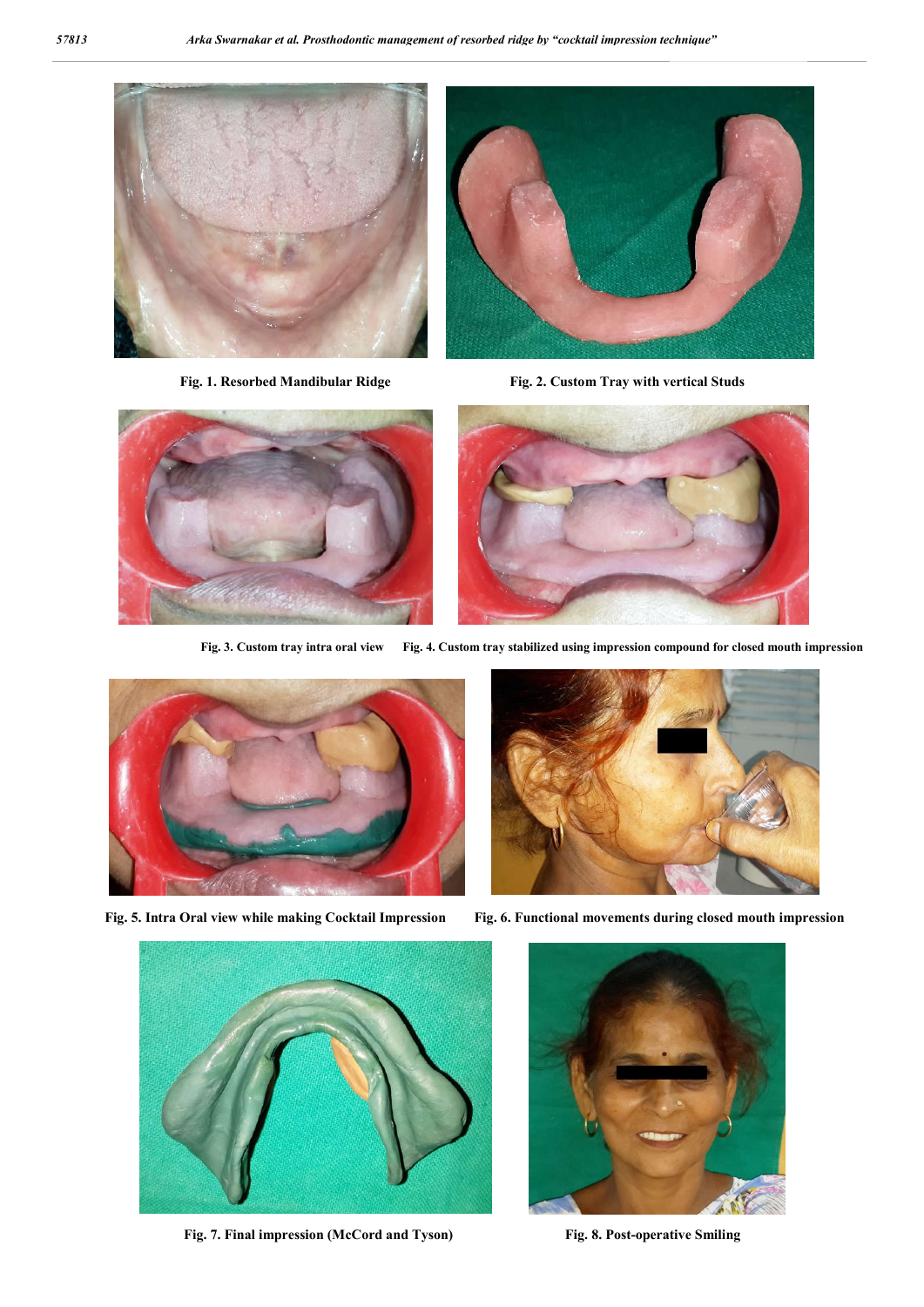



Fig. 1. Resorbed Mandibular Ridge Fig. 2. Custom Tray with vertical Studs





**Fig. 3. Custom tray intra oral view Fig. 4. Custom tray stabilized using impression compound for closed mouth impression**



 **Fig. 5. Intra Oral view while making Cocktail Impression Fig. 6. Functional movements during closed mouth impression**





**Fig. 7. Final impression (McCord and Tyson) Fig. 8. Post-operative Smiling**